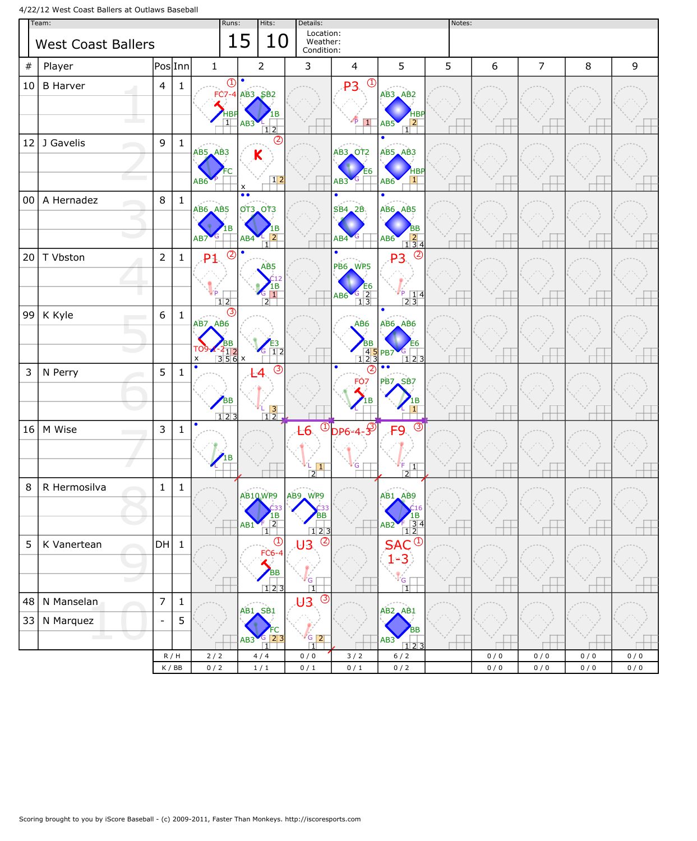4/22/12 West Coast Ballers at Outlaws Baseball

| Team:                     |                               |                          |                                    |                                            | Runs:<br>Hits: |                                                                                   | Details:                                   | Notes:                                               |                                                                                                                          |   |     |                |     |             |
|---------------------------|-------------------------------|--------------------------|------------------------------------|--------------------------------------------|----------------|-----------------------------------------------------------------------------------|--------------------------------------------|------------------------------------------------------|--------------------------------------------------------------------------------------------------------------------------|---|-----|----------------|-----|-------------|
| <b>West Coast Ballers</b> |                               |                          |                                    |                                            |                | 15<br>10                                                                          | Location:<br>Weather:<br>Condition:        |                                                      |                                                                                                                          |   |     |                |     |             |
| $\#$                      | Player                        | PoslInn                  |                                    | $\mathbf{1}$                               |                | $\overline{2}$                                                                    | 3                                          | $\overline{4}$                                       | 5                                                                                                                        | 5 | 6   | $\overline{7}$ | 8   | $\mathsf 9$ |
| 10                        | <b>B</b> Harver<br>سي المراجع | $\overline{4}$           | $\mathbf{1}$                       | Œ<br>FC7<br>HB<br>$\overline{1}$           |                | $\bullet$<br>$-4$ AB3 SB2<br>AB3<br>1 2                                           |                                            | $\bigcirc$<br>P <sub>3</sub><br>$\vert$              | AB3 AB2<br>HBF<br>$\overline{2}$<br>AB5<br>1                                                                             |   |     |                |     |             |
| 12                        | J Gavelis                     | 9                        | $\mathbf{1}$                       | AB5 AB3<br>AB <sub>6</sub>                 |                | (2)<br>Κ<br>$\boxed{1}$<br>$\boldsymbol{\mathsf{x}}$                              |                                            | <b>AB3 OT2</b><br>AB3                                | $\bullet$<br>AB5 AB3<br><b>HBF</b><br>$\vert$ 1<br>AB <sub>6</sub>                                                       |   |     |                |     |             |
| 00                        | A Hernadez                    | 8                        | $\mathbf{1}$                       | AB6 AB5<br>1 B<br>AB7                      |                | $\bullet \bullet$<br><b>OT3_OT3</b><br>в<br>$\overline{2}$<br>AB4<br>$\mathbf{1}$ |                                            | $\bullet$<br>SB4, 2B<br>AB4                          | $\bullet$<br><b>AB6 AB5</b><br>ΒB<br>$\begin{array}{ c c }\n\hline\n2 & 3 & 4 \\ \hline\n\end{array}$<br>AB <sub>6</sub> |   |     |                |     |             |
| 20                        | T Vbston<br>ш                 | $\overline{2}$           | $\mathbf{1}$                       | C<br>P <sub>1</sub><br>12                  |                | AB <sub>5</sub><br>$\overline{1}$<br>$\overline{2}$                               |                                            | $\bullet$<br><b>PB6 WP5</b><br>$\frac{6}{13}$<br>AB6 | (2)<br>P3<br>$\frac{14}{23}$                                                                                             |   |     |                |     |             |
| 99                        | K Kyle                        | 6                        | $\mathbf{1}$                       | (3)<br>AB7 AB6<br>$\frac{212}{356}$ x<br>x |                | $\overline{1}\overline{2}$                                                        |                                            | AB6<br>$\frac{45}{123}$                              | $\bullet$<br><b>AB6 AB6</b><br>E6<br>PB7<br>$123$                                                                        |   |     |                |     |             |
| 3                         | N Perry                       | 5                        | 1                                  | <b>BB</b><br>123                           |                | $\circled{3}$<br>$\frac{1}{12}$                                                   |                                            | $\bullet$<br>(2)<br>FO7                              | $\bullet$<br>PB7.SB7                                                                                                     |   |     |                |     |             |
| 16                        | M Wise                        | 3                        | 1                                  | $\bullet$                                  |                |                                                                                   | $-6.$<br>$\vert 1 \vert$<br>$\overline{2}$ | $\circled{1}$ <sub>DP6-4-3</sub><br>ΙG.              | (3)<br>FΟ<br>$\mathsf{F}$<br>$\boxed{1}$<br>$\boxed{2}$                                                                  |   |     |                |     |             |
| 8                         | R Hermosilva                  | $\mathbf{1}$             | 1                                  |                                            |                | AB10 WP9<br>$\frac{1}{2}$<br>AB1<br>$\mathbf{1}$                                  | AB9 WP9<br>ΒB<br>123                       |                                                      | AB1 AB9<br>216<br>1B<br>$\frac{\frac{1}{3}}{12}$<br>AB2                                                                  |   |     |                |     |             |
| 5                         | K Vanertean                   | DH                       | $\mathbf{1}$                       |                                            |                | $\overline{\bigcirc}$<br><b>FC6-4</b><br><b>BB</b><br>123                         | $\circledS$<br>U3.<br>$\cdot G$<br>$\Box$  |                                                      | Œ<br>΄G<br>ПŤ                                                                                                            |   |     |                |     |             |
| 48                        | N Manselan                    | $\overline{7}$           | $\mathbf{1}$                       |                                            |                |                                                                                   | $\circled{3}$<br>U3                        |                                                      |                                                                                                                          |   |     |                |     |             |
| 33                        | N Marquez<br>and the second   | $\overline{\phantom{a}}$ | 5                                  |                                            |                | AB1 SB1<br>$\overline{2}3$<br>AB3<br>$\Box$                                       | $\frac{1}{6}$ 2<br>$\Box$                  |                                                      | AB <sub>2</sub> AB <sub>1</sub><br>BB<br>AB3<br>123                                                                      |   |     |                |     |             |
|                           |                               |                          | R/H                                | $2/2$                                      |                | 4/4                                                                               | 0/0                                        | 3/2                                                  | $6/2$                                                                                                                    |   | 0/0 | 0/0            | 0/0 | 0/0         |
|                           |                               |                          | $\mathsf K$ / $\mathsf B\mathsf B$ | 0/2                                        |                | $1\ / \ 1$                                                                        | 0/1                                        | 0/1                                                  | 0/2                                                                                                                      |   | 0/0 | 0/0            | 0/0 | 0/0         |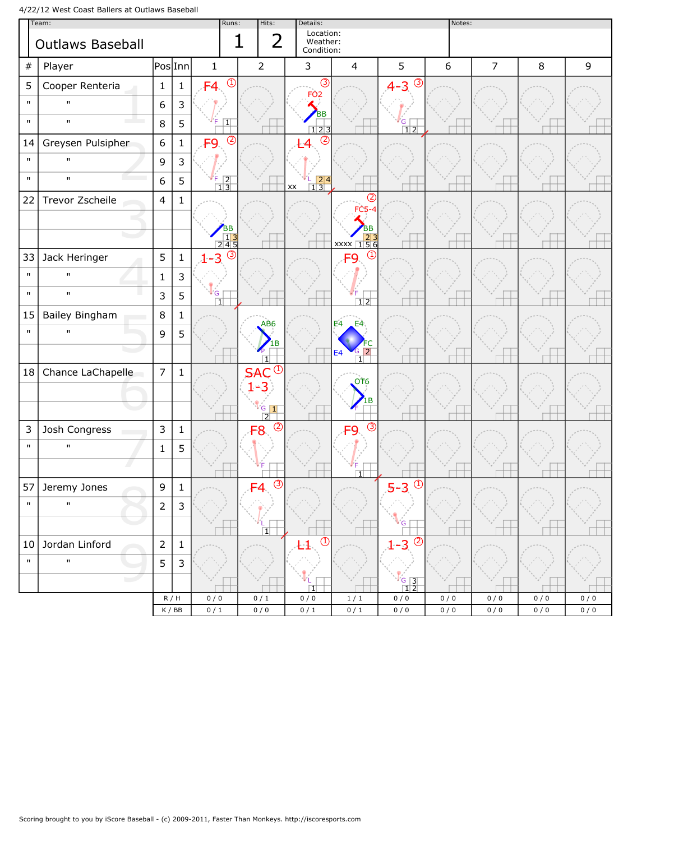4/22/12 West Coast Ballers at Outlaws Baseball

| Team:        |                         |                              |              |                                                       | Hits:<br>Runs:                | Details:                                     |                                                                                               |                                  | Notes:     |                |            |            |
|--------------|-------------------------|------------------------------|--------------|-------------------------------------------------------|-------------------------------|----------------------------------------------|-----------------------------------------------------------------------------------------------|----------------------------------|------------|----------------|------------|------------|
|              | <b>Outlaws Baseball</b> |                              |              |                                                       | $\overline{2}$<br>$\mathbf 1$ | Location:<br>Weather:<br>Condition:          |                                                                                               |                                  |            |                |            |            |
| $\#$         | Player                  | $\mathsf{Pos} \mathsf{Inn} $ |              | $\mathbf{1}$                                          | $\overline{2}$                | $\mathbf{3}$                                 | $\overline{4}$                                                                                | 5                                | 6          | $\overline{7}$ | 8          | 9          |
| 5            | Cooper Renteria         | $\mathbf{1}$                 | $\mathbf{1}$ | $\overline{\bigcirc}$<br>F4                           |                               | $\circled{3}$<br>FO <sub>2</sub>             |                                                                                               | $\circled{3}$<br>$4 - 3$         |            |                |            |            |
| $\mathbf{u}$ | $\mathbf{H}$            | $\boldsymbol{6}$             | 3            |                                                       |                               | <b>BB</b>                                    |                                                                                               |                                  |            |                |            |            |
| $\mathbf{u}$ | $\mathbf{u}$            | 8                            | 5            | $\boxed{1}$                                           |                               | $\boxed{1}$ 2 3                              |                                                                                               | $rac{G}{12}$                     |            |                |            |            |
| 14           | Greysen Pulsipher       | $\boldsymbol{6}$             | $\mathbf 1$  | $\circled{2}$<br>F <sub>9</sub>                       |                               | $\circledcirc$                               |                                                                                               |                                  |            |                |            |            |
| $\mathbf{u}$ | $\mathbf{u}$            | $\mathsf 9$                  | 3            |                                                       |                               |                                              |                                                                                               |                                  |            |                |            |            |
| $\mathbf{u}$ | $\mathbf{u}$            | 6                            | 5            | $\begin{array}{ c c }\n \hline\n 1 & 3\n \end{array}$ |                               | $\frac{1}{1}$ $\frac{2}{3}$<br>$\mathsf{xx}$ |                                                                                               |                                  |            |                |            |            |
| 22           | Trevor Zscheile         | $\overline{4}$               | $\mathbf{1}$ |                                                       |                               |                                              | $^{\circledR}$<br>$FC5-4$                                                                     |                                  |            |                |            |            |
|              |                         |                              |              |                                                       |                               |                                              | <b>BB</b>                                                                                     |                                  |            |                |            |            |
|              |                         |                              |              | BB<br>13<br>245                                       |                               |                                              | $\begin{array}{ c c c }\n \hline\n & 23 \\  \hline\n \hline\n \text{XXX} & 156\n \end{array}$ |                                  |            |                |            |            |
| 33           | Jack Heringer           | 5                            | $\mathbf 1$  | $\circled{3}$<br>$1 - 3$                              |                               |                                              | $\mathbb{C}$<br>O                                                                             |                                  |            |                |            |            |
| $\mathbf{u}$ | $\mathbf{u}$            | $\mathbf{1}$                 | 3            |                                                       |                               |                                              |                                                                                               |                                  |            |                |            |            |
| $\mathbf{u}$ | $\mathbf{u}$            | 3                            | 5            | l G<br>団                                              |                               |                                              | $\overline{1}\overline{2}$                                                                    |                                  |            |                |            |            |
| 15           | Bailey Bingham          | $\,8\,$                      | $\mathbf{1}$ |                                                       | AB <sub>6</sub>               |                                              | E4<br>E4                                                                                      |                                  |            |                |            |            |
| $\mathbf{u}$ | $\mathbf{u}$            | 9                            | 5            |                                                       |                               |                                              |                                                                                               |                                  |            |                |            |            |
|              |                         |                              |              |                                                       | $\overline{1}$                |                                              | $\overline{2}$<br>E <sub>4</sub><br>$\Box$                                                    |                                  |            |                |            |            |
| 18           | Chance LaChapelle       | $\overline{7}$               | $\mathbf 1$  |                                                       | $\bigcirc$<br><b>SAC</b>      |                                              | OT <sub>6</sub>                                                                               |                                  |            |                |            |            |
|              |                         |                              |              |                                                       | $1 - 3$                       |                                              |                                                                                               |                                  |            |                |            |            |
|              |                         |                              |              |                                                       | $\frac{6}{2}$                 |                                              |                                                                                               |                                  |            |                |            |            |
| 3            | Josh Congress           | $\mathsf{3}$                 | $\mathbf 1$  |                                                       | $\circled{2}$<br>8            |                                              | $\overline{3}$<br>a                                                                           |                                  |            |                |            |            |
| $\mathbf{u}$ | $\mathbf{u}$            | $\mathbf{1}$                 | 5            |                                                       |                               |                                              |                                                                                               |                                  |            |                |            |            |
|              |                         |                              |              |                                                       |                               |                                              | $\Box$                                                                                        |                                  |            |                |            |            |
|              | 57 Jeremy Jones         | $\mathsf g$                  | $\mathbf 1$  |                                                       | $\circledS$<br>F4             |                                              |                                                                                               | $\overline{\bigcirc}$<br>$5 - 3$ |            |                |            |            |
| $\mathbf{H}$ | $\mathbf{H}$            | $\overline{2}$               | 3            |                                                       |                               |                                              |                                                                                               |                                  |            |                |            |            |
|              |                         |                              |              |                                                       | $\overline{1}$                |                                              |                                                                                               | G                                |            |                |            |            |
| 10           | Jordan Linford          | $\mathbf 2$                  | $\mathbf{1}$ |                                                       |                               | $\overline{\bigcirc}$                        |                                                                                               | $\circledS$<br>$1 - 3$           |            |                |            |            |
| $\mathbf{u}$ | $\mathbf{u}$            | 5                            | $\mathsf{3}$ |                                                       |                               |                                              |                                                                                               |                                  |            |                |            |            |
|              | المسترا                 |                              |              |                                                       |                               | Π                                            |                                                                                               | $\frac{6}{12}$                   |            |                |            |            |
|              |                         | R/H<br>K / BB                |              | 0/0<br>$0$ / $1$                                      | 0/1<br>0/0                    | 0/0<br>$0/1$                                 | 1/1<br>0/1                                                                                    | 0/0<br>0/0                       | 0/0<br>0/0 | 0/0<br>0/0     | 0/0<br>0/0 | 0/0<br>0/0 |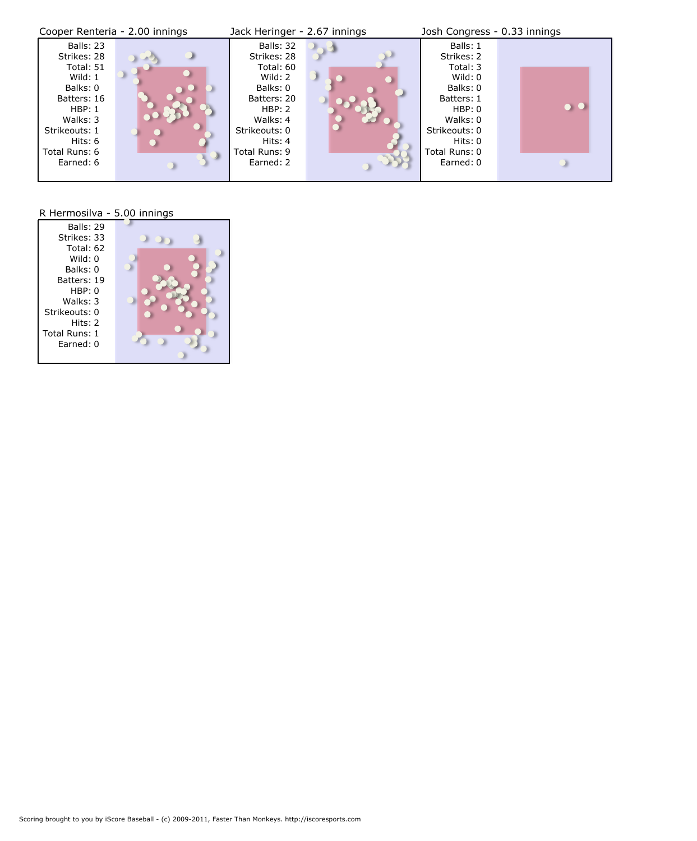| Cooper Renteria - 2.00 innings                                                                                                                                | Jack Heringer - 2.67 innings                                                                                                                                | Josh Congress - 0.33 innings                                                                                                                                           |
|---------------------------------------------------------------------------------------------------------------------------------------------------------------|-------------------------------------------------------------------------------------------------------------------------------------------------------------|------------------------------------------------------------------------------------------------------------------------------------------------------------------------|
| Balls: 23<br>Strikes: 28<br>Total: 51<br>Wild: $1$<br>Balks: 0<br>Batters: 16<br>HBP: 1<br>Walks: 3<br>Strikeouts: 1<br>Hits: 6<br>Total Runs: 6<br>Earned: 6 | Balls: 32<br>Strikes: 28<br>Total: 60<br>Wild: 2<br>Balks: 0<br>Batters: 20<br>HBP: 2<br>Walks: 4<br>Strikeouts: 0<br>Hits: 4<br>Total Runs: 9<br>Earned: 2 | Balls: 1<br>Strikes: 2<br>Total: 3<br>Wild: 0<br>Balks: 0<br>Batters: 1<br><b>TANK</b><br>HBP: 0<br>Walks: 0<br>Strikeouts: 0<br>Hits: 0<br>Total Runs: 0<br>Earned: 0 |

## R Hermosilva - 5.00 innings